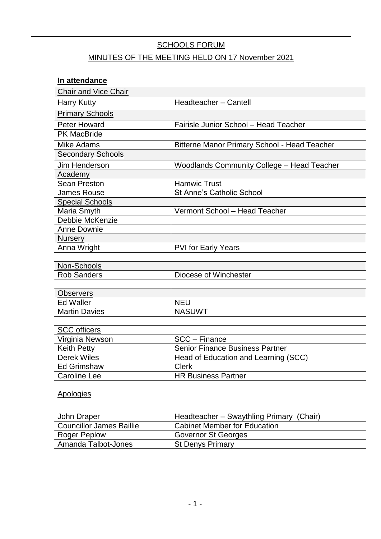# SCHOOLS FORUM

# MINUTES OF THE MEETING HELD ON 17 November 2021

| In attendance               |                                                     |
|-----------------------------|-----------------------------------------------------|
| <b>Chair and Vice Chair</b> |                                                     |
| <b>Harry Kutty</b>          | Headteacher - Cantell                               |
| Primary Schools             |                                                     |
| <b>Peter Howard</b>         | Fairisle Junior School - Head Teacher               |
| <b>PK MacBride</b>          |                                                     |
| <b>Mike Adams</b>           | <b>Bitterne Manor Primary School - Head Teacher</b> |
| <b>Secondary Schools</b>    |                                                     |
| <b>Jim Henderson</b>        | <b>Woodlands Community College - Head Teacher</b>   |
| Academy                     |                                                     |
| Sean Preston                | <b>Hamwic Trust</b>                                 |
| <b>James Rouse</b>          | <b>St Anne's Catholic School</b>                    |
| <b>Special Schools</b>      |                                                     |
| Maria Smyth                 | Vermont School - Head Teacher                       |
| Debbie McKenzie             |                                                     |
| Anne Downie                 |                                                     |
| <b>Nursery</b>              |                                                     |
| Anna Wright                 | <b>PVI for Early Years</b>                          |
|                             |                                                     |
| Non-Schools                 |                                                     |
| <b>Rob Sanders</b>          | Diocese of Winchester                               |
|                             |                                                     |
| <b>Observers</b>            |                                                     |
| <b>Ed Waller</b>            | <b>NEU</b>                                          |
| <b>Martin Davies</b>        | <b>NASUWT</b>                                       |
|                             |                                                     |
| <b>SCC</b> officers         |                                                     |
| Virginia Newson             | SCC - Finance                                       |
| Keith Petty                 | <b>Senior Finance Business Partner</b>              |
| <b>Derek Wiles</b>          | Head of Education and Learning (SCC)                |
| <b>Ed Grimshaw</b>          | <b>Clerk</b>                                        |
| <b>Caroline Lee</b>         | <b>HR Business Partner</b>                          |

# Apologies

| John Draper                     | Headteacher - Swaythling Primary (Chair) |
|---------------------------------|------------------------------------------|
| <b>Councillor James Baillie</b> | <b>Cabinet Member for Education</b>      |
| Roger Peplow                    | Governor St Georges                      |
| Amanda Talbot-Jones             | <b>St Denys Primary</b>                  |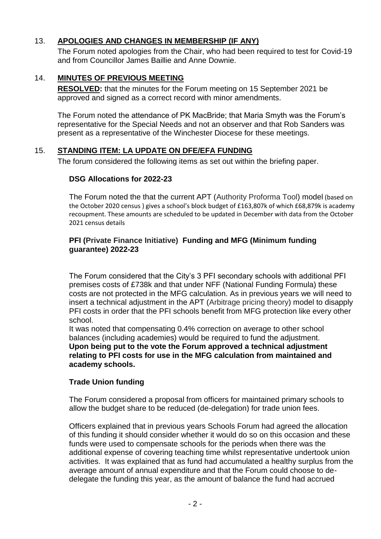### 13. **APOLOGIES AND CHANGES IN MEMBERSHIP (IF ANY)**

The Forum noted apologies from the Chair, who had been required to test for Covid-19 and from Councillor James Baillie and Anne Downie.

### 14. **MINUTES OF PREVIOUS MEETING**

**RESOLVED:** that the minutes for the Forum meeting on 15 September 2021 be approved and signed as a correct record with minor amendments.

The Forum noted the attendance of PK MacBride; that Maria Smyth was the Forum's representative for the Special Needs and not an observer and that Rob Sanders was present as a representative of the Winchester Diocese for these meetings.

### 15. **STANDING ITEM: LA UPDATE ON DFE/EFA FUNDING**

The forum considered the following items as set out within the briefing paper.

### **DSG Allocations for 2022-23**

The Forum noted the that the current APT (Authority Proforma Tool) model (based on the October 2020 census ) gives a school's block budget of £163,807k of which £68,879k is academy recoupment. These amounts are scheduled to be updated in December with data from the October 2021 census details

#### **PFI (Private Finance Initiative) Funding and MFG (Minimum funding guarantee) 2022-23**

The Forum considered that the City's 3 PFI secondary schools with additional PFI premises costs of £738k and that under NFF (National Funding Formula) these costs are not protected in the MFG calculation. As in previous years we will need to insert a technical adjustment in the APT (Arbitrage pricing theory) model to disapply PFI costs in order that the PFI schools benefit from MFG protection like every other school.

It was noted that compensating 0.4% correction on average to other school balances (including academies) would be required to fund the adjustment. **Upon being put to the vote the Forum approved a technical adjustment relating to PFI costs for use in the MFG calculation from maintained and academy schools.**

### **Trade Union funding**

The Forum considered a proposal from officers for maintained primary schools to allow the budget share to be reduced (de-delegation) for trade union fees.

Officers explained that in previous years Schools Forum had agreed the allocation of this funding it should consider whether it would do so on this occasion and these funds were used to compensate schools for the periods when there was the additional expense of covering teaching time whilst representative undertook union activities. It was explained that as fund had accumulated a healthy surplus from the average amount of annual expenditure and that the Forum could choose to dedelegate the funding this year, as the amount of balance the fund had accrued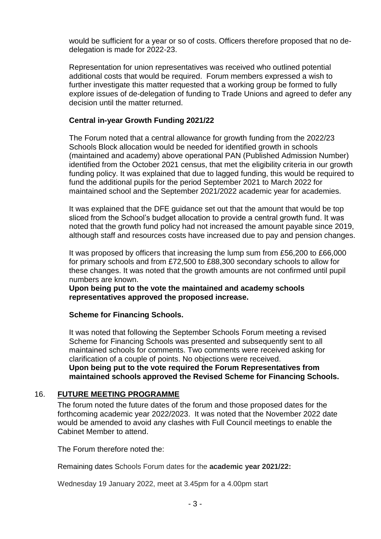would be sufficient for a year or so of costs. Officers therefore proposed that no dedelegation is made for 2022-23.

Representation for union representatives was received who outlined potential additional costs that would be required. Forum members expressed a wish to further investigate this matter requested that a working group be formed to fully explore issues of de-delegation of funding to Trade Unions and agreed to defer any decision until the matter returned.

#### **Central in-year Growth Funding 2021/22**

The Forum noted that a central allowance for growth funding from the 2022/23 Schools Block allocation would be needed for identified growth in schools (maintained and academy) above operational PAN (Published Admission Number) identified from the October 2021 census, that met the eligibility criteria in our growth funding policy. It was explained that due to lagged funding, this would be required to fund the additional pupils for the period September 2021 to March 2022 for maintained school and the September 2021/2022 academic year for academies.

It was explained that the DFE guidance set out that the amount that would be top sliced from the School's budget allocation to provide a central growth fund. It was noted that the growth fund policy had not increased the amount payable since 2019, although staff and resources costs have increased due to pay and pension changes.

It was proposed by officers that increasing the lump sum from £56,200 to £66,000 for primary schools and from £72,500 to £88,300 secondary schools to allow for these changes. It was noted that the growth amounts are not confirmed until pupil numbers are known.

**Upon being put to the vote the maintained and academy schools representatives approved the proposed increase.**

**Scheme for Financing Schools.**

It was noted that following the September Schools Forum meeting a revised Scheme for Financing Schools was presented and subsequently sent to all maintained schools for comments. Two comments were received asking for clarification of a couple of points. No objections were received. **Upon being put to the vote required the Forum Representatives from maintained schools approved the Revised Scheme for Financing Schools.**

#### 16. **FUTURE MEETING PROGRAMME**

The forum noted the future dates of the forum and those proposed dates for the forthcoming academic year 2022/2023. It was noted that the November 2022 date would be amended to avoid any clashes with Full Council meetings to enable the Cabinet Member to attend.

The Forum therefore noted the:

Remaining dates Schools Forum dates for the **academic year 2021/22:**

Wednesday 19 January 2022, meet at 3.45pm for a 4.00pm start